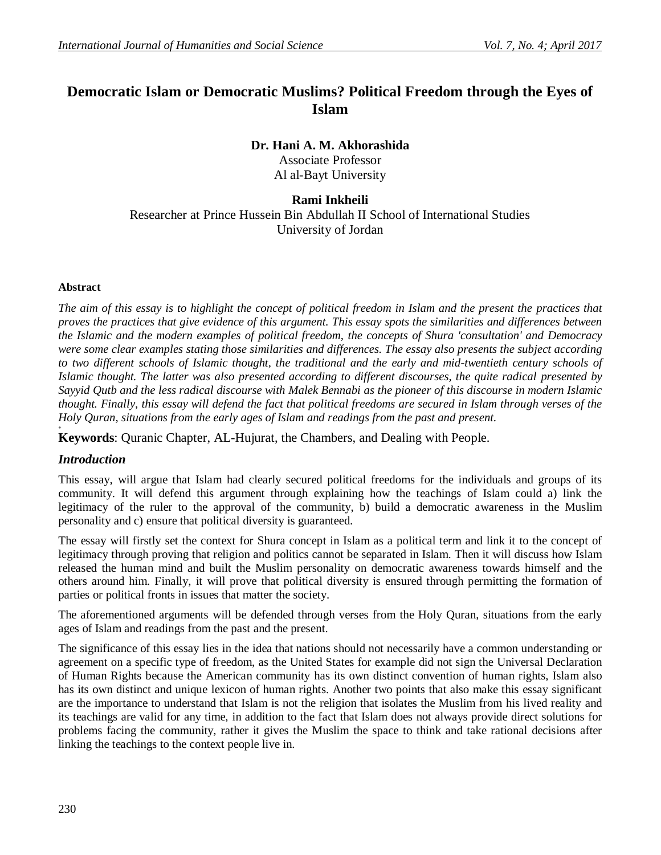# **Democratic Islam or Democratic Muslims? Political Freedom through the Eyes of Islam**

#### **Dr. Hani A. M. Akhorashida** Associate Professor Al al-Bayt University

## **Rami Inkheili** Researcher at Prince Hussein Bin Abdullah II School of International Studies University of Jordan

#### **Abstract**

*The aim of this essay is to highlight the concept of political freedom in Islam and the present the practices that proves the practices that give evidence of this argument. This essay spots the similarities and differences between the Islamic and the modern examples of political freedom, the concepts of Shura 'consultation' and Democracy were some clear examples stating those similarities and differences. The essay also presents the subject according*  to two different schools of Islamic thought, the traditional and the early and mid-twentieth century schools of *Islamic thought. The latter was also presented according to different discourses, the quite radical presented by Sayyid Qutb and the less radical discourse with Malek Bennabi as the pioneer of this discourse in modern Islamic thought. Finally, this essay will defend the fact that political freedoms are secured in Islam through verses of the Holy Quran, situations from the early ages of Islam and readings from the past and present.* **+**

**Keywords**: Quranic Chapter, AL-Hujurat, the Chambers, and Dealing with People.

## *Introduction*

This essay, will argue that Islam had clearly secured political freedoms for the individuals and groups of its community. It will defend this argument through explaining how the teachings of Islam could a) link the legitimacy of the ruler to the approval of the community, b) build a democratic awareness in the Muslim personality and c) ensure that political diversity is guaranteed.

The essay will firstly set the context for Shura concept in Islam as a political term and link it to the concept of legitimacy through proving that religion and politics cannot be separated in Islam. Then it will discuss how Islam released the human mind and built the Muslim personality on democratic awareness towards himself and the others around him. Finally, it will prove that political diversity is ensured through permitting the formation of parties or political fronts in issues that matter the society.

The aforementioned arguments will be defended through verses from the Holy Quran, situations from the early ages of Islam and readings from the past and the present.

The significance of this essay lies in the idea that nations should not necessarily have a common understanding or agreement on a specific type of freedom, as the United States for example did not sign the Universal Declaration of Human Rights because the American community has its own distinct convention of human rights, Islam also has its own distinct and unique lexicon of human rights. Another two points that also make this essay significant are the importance to understand that Islam is not the religion that isolates the Muslim from his lived reality and its teachings are valid for any time, in addition to the fact that Islam does not always provide direct solutions for problems facing the community, rather it gives the Muslim the space to think and take rational decisions after linking the teachings to the context people live in.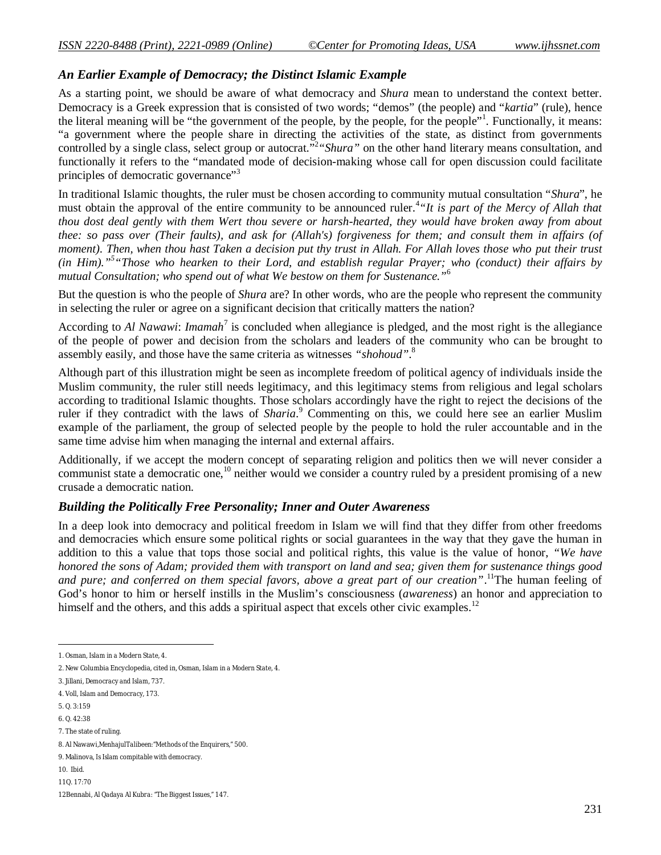## *An Earlier Example of Democracy; the Distinct Islamic Example*

As a starting point, we should be aware of what democracy and *Shura* mean to understand the context better. Democracy is a Greek expression that is consisted of two words; "demos" (the people) and "*kartia*" (rule), hence the literal meaning will be "the government of the people, by the people, for the people"<sup>1</sup>. Functionally, it means: "a government where the people share in directing the activities of the state, as distinct from governments controlled by a single class, select group or autocrat."<sup>2</sup> "Shura" on the other hand literary means consultation, and functionally it refers to the "mandated mode of decision-making whose call for open discussion could facilitate principles of democratic governance"<sup>3</sup>

In traditional Islamic thoughts, the ruler must be chosen according to community mutual consultation "*Shura*", he must obtain the approval of the entire community to be announced ruler.<sup>4</sup>"It is part of the Mercy of Allah that *thou dost deal gently with them Wert thou severe or harsh-hearted, they would have broken away from about thee: so pass over (Their faults), and ask for (Allah's) forgiveness for them; and consult them in affairs (of moment). Then, when thou hast Taken a decision put thy trust in Allah. For Allah loves those who put their trust (in Him)."<sup>5</sup> "Those who hearken to their Lord, and establish regular Prayer; who (conduct) their affairs by mutual Consultation; who spend out of what We bestow on them for Sustenance."*<sup>6</sup>

But the question is who the people of *Shura* are? In other words, who are the people who represent the community in selecting the ruler or agree on a significant decision that critically matters the nation?

According to *Al Nawawi: Imamah*<sup>7</sup> is concluded when allegiance is pledged, and the most right is the allegiance of the people of power and decision from the scholars and leaders of the community who can be brought to assembly easily, and those have the same criteria as witnesses *"shohoud"*. 8

Although part of this illustration might be seen as incomplete freedom of political agency of individuals inside the Muslim community, the ruler still needs legitimacy, and this legitimacy stems from religious and legal scholars according to traditional Islamic thoughts. Those scholars accordingly have the right to reject the decisions of the ruler if they contradict with the laws of *Sharia*. <sup>9</sup> Commenting on this, we could here see an earlier Muslim example of the parliament, the group of selected people by the people to hold the ruler accountable and in the same time advise him when managing the internal and external affairs.

Additionally, if we accept the modern concept of separating religion and politics then we will never consider a communist state a democratic one,<sup>10</sup> neither would we consider a country ruled by a president promising of a new crusade a democratic nation.

## *Building the Politically Free Personality; Inner and Outer Awareness*

In a deep look into democracy and political freedom in Islam we will find that they differ from other freedoms and democracies which ensure some political rights or social guarantees in the way that they gave the human in addition to this a value that tops those social and political rights, this value is the value of honor, *"We have honored the sons of Adam; provided them with transport on land and sea; given them for sustenance things good and pure; and conferred on them special favors, above a great part of our creation"*. <sup>11</sup>The human feeling of God's honor to him or herself instills in the Muslim's consciousness (*awareness*) an honor and appreciation to himself and the others, and this adds a spiritual aspect that excels other civic examples.<sup>12</sup>

 $\overline{a}$ 

10. Ibid.

<sup>1.</sup> Osman, *Islam in a Modern State*, 4.

<sup>2.</sup> New Columbia Encyclopedia, cited in, Osman, *Islam in a Modern State*, 4.

<sup>3.</sup> Jillani, *Democracy and Islam*, 737.

<sup>4.</sup> Voll, *Islam and Democracy*, 173.

<sup>5.</sup> Q. 3:159

<sup>6.</sup> Q. 42:38

<sup>7.</sup> The state of ruling.

<sup>8.</sup> Al Nawawi,*MenhajulTalibeen:"Methods of the Enquirers*,*"* 500.

<sup>9.</sup> Malinova, *Is Islam compitable with democracy.*

<sup>11</sup>Q. 17:70

<sup>12</sup>Bennabi, *Al Qadaya Al Kubra: "The Biggest Issues,"* 147.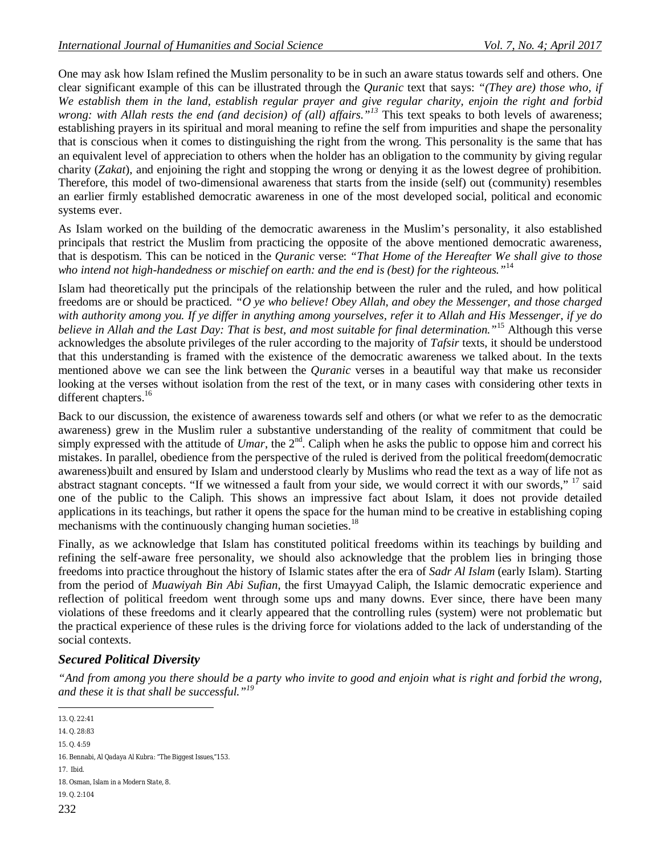One may ask how Islam refined the Muslim personality to be in such an aware status towards self and others. One clear significant example of this can be illustrated through the *Quranic* text that says: *"(They are) those who, if We establish them in the land, establish regular prayer and give regular charity, enjoin the right and forbid wrong: with Allah rests the end (and decision) of (all) affairs."<sup>13</sup>* This text speaks to both levels of awareness; establishing prayers in its spiritual and moral meaning to refine the self from impurities and shape the personality that is conscious when it comes to distinguishing the right from the wrong. This personality is the same that has an equivalent level of appreciation to others when the holder has an obligation to the community by giving regular charity (*Zakat*), and enjoining the right and stopping the wrong or denying it as the lowest degree of prohibition. Therefore, this model of two-dimensional awareness that starts from the inside (self) out (community) resembles an earlier firmly established democratic awareness in one of the most developed social, political and economic systems ever.

As Islam worked on the building of the democratic awareness in the Muslim's personality, it also established principals that restrict the Muslim from practicing the opposite of the above mentioned democratic awareness, that is despotism. This can be noticed in the *Quranic* verse: *"That Home of the Hereafter We shall give to those who intend not high-handedness or mischief on earth: and the end is (best) for the righteous."*<sup>14</sup>

Islam had theoretically put the principals of the relationship between the ruler and the ruled, and how political freedoms are or should be practiced. *"O ye who believe! Obey Allah, and obey the Messenger, and those charged with authority among you. If ye differ in anything among yourselves, refer it to Allah and His Messenger, if ye do believe in Allah and the Last Day: That is best, and most suitable for final determination."*<sup>15</sup> Although this verse acknowledges the absolute privileges of the ruler according to the majority of *Tafsir* texts, it should be understood that this understanding is framed with the existence of the democratic awareness we talked about. In the texts mentioned above we can see the link between the *Quranic* verses in a beautiful way that make us reconsider looking at the verses without isolation from the rest of the text, or in many cases with considering other texts in different chapters.<sup>16</sup>

Back to our discussion, the existence of awareness towards self and others (or what we refer to as the democratic awareness) grew in the Muslim ruler a substantive understanding of the reality of commitment that could be simply expressed with the attitude of *Umar*, the  $2<sup>nd</sup>$ . Caliph when he asks the public to oppose him and correct his mistakes. In parallel, obedience from the perspective of the ruled is derived from the political freedom(democratic awareness)built and ensured by Islam and understood clearly by Muslims who read the text as a way of life not as abstract stagnant concepts. "If we witnessed a fault from your side, we would correct it with our swords," <sup>17</sup> said one of the public to the Caliph. This shows an impressive fact about Islam, it does not provide detailed applications in its teachings, but rather it opens the space for the human mind to be creative in establishing coping mechanisms with the continuously changing human societies.<sup>18</sup>

Finally, as we acknowledge that Islam has constituted political freedoms within its teachings by building and refining the self-aware free personality, we should also acknowledge that the problem lies in bringing those freedoms into practice throughout the history of Islamic states after the era of *Sadr Al Islam* (early Islam). Starting from the period of *Muawiyah Bin Abi Sufian*, the first Umayyad Caliph, the Islamic democratic experience and reflection of political freedom went through some ups and many downs. Ever since, there have been many violations of these freedoms and it clearly appeared that the controlling rules (system) were not problematic but the practical experience of these rules is the driving force for violations added to the lack of understanding of the social contexts.

## *Secured Political Diversity*

*"And from among you there should be a party who invite to good and enjoin what is right and forbid the wrong, and these it is that shall be successful."<sup>19</sup>*

 $\overline{a}$ 13. Q. 22:41

<sup>14.</sup> Q. 28:83

<sup>15.</sup> Q. 4:59

<sup>16.</sup> Bennabi, *Al Qadaya Al Kubra: "The Biggest Issues,"*153.

<sup>17.</sup> Ibid.

<sup>18.</sup> Osman, *Islam in a Modern State*, 8.

<sup>19.</sup> Q. 2:104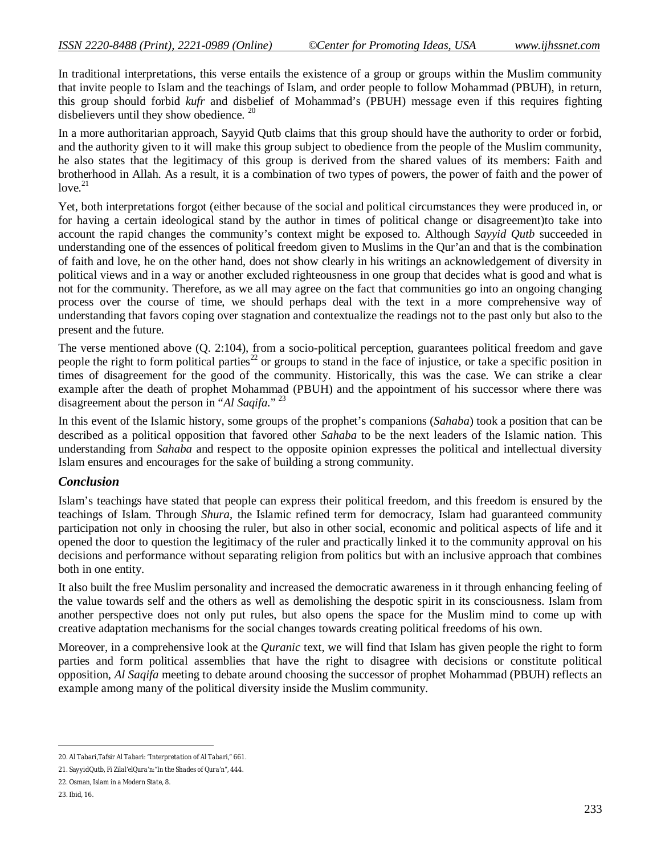In traditional interpretations, this verse entails the existence of a group or groups within the Muslim community that invite people to Islam and the teachings of Islam, and order people to follow Mohammad (PBUH), in return, this group should forbid *kufr* and disbelief of Mohammad's (PBUH) message even if this requires fighting disbelievers until they show obedience. <sup>20</sup>

In a more authoritarian approach, Sayyid Qutb claims that this group should have the authority to order or forbid, and the authority given to it will make this group subject to obedience from the people of the Muslim community, he also states that the legitimacy of this group is derived from the shared values of its members: Faith and brotherhood in Allah. As a result, it is a combination of two types of powers, the power of faith and the power of  $love.<sup>21</sup>$ 

Yet, both interpretations forgot (either because of the social and political circumstances they were produced in, or for having a certain ideological stand by the author in times of political change or disagreement)to take into account the rapid changes the community's context might be exposed to. Although *Sayyid Qutb* succeeded in understanding one of the essences of political freedom given to Muslims in the Qur'an and that is the combination of faith and love, he on the other hand, does not show clearly in his writings an acknowledgement of diversity in political views and in a way or another excluded righteousness in one group that decides what is good and what is not for the community. Therefore, as we all may agree on the fact that communities go into an ongoing changing process over the course of time, we should perhaps deal with the text in a more comprehensive way of understanding that favors coping over stagnation and contextualize the readings not to the past only but also to the present and the future.

The verse mentioned above (Q. 2:104), from a socio-political perception, guarantees political freedom and gave people the right to form political parties<sup>22</sup> or groups to stand in the face of injustice, or take a specific position in times of disagreement for the good of the community. Historically, this was the case. We can strike a clear example after the death of prophet Mohammad (PBUH) and the appointment of his successor where there was disagreement about the person in "*Al Saqifa*." <sup>23</sup>

In this event of the Islamic history, some groups of the prophet's companions (*Sahaba*) took a position that can be described as a political opposition that favored other *Sahaba* to be the next leaders of the Islamic nation. This understanding from *Sahaba* and respect to the opposite opinion expresses the political and intellectual diversity Islam ensures and encourages for the sake of building a strong community.

## *Conclusion*

Islam's teachings have stated that people can express their political freedom, and this freedom is ensured by the teachings of Islam. Through *Shura*, the Islamic refined term for democracy, Islam had guaranteed community participation not only in choosing the ruler, but also in other social, economic and political aspects of life and it opened the door to question the legitimacy of the ruler and practically linked it to the community approval on his decisions and performance without separating religion from politics but with an inclusive approach that combines both in one entity.

It also built the free Muslim personality and increased the democratic awareness in it through enhancing feeling of the value towards self and the others as well as demolishing the despotic spirit in its consciousness. Islam from another perspective does not only put rules, but also opens the space for the Muslim mind to come up with creative adaptation mechanisms for the social changes towards creating political freedoms of his own.

Moreover, in a comprehensive look at the *Quranic* text, we will find that Islam has given people the right to form parties and form political assemblies that have the right to disagree with decisions or constitute political opposition, *Al Saqifa* meeting to debate around choosing the successor of prophet Mohammad (PBUH) reflects an example among many of the political diversity inside the Muslim community.

 $\overline{a}$ 20. Al Tabari,*Tafsir Al Tabari: "Interpretation of Al Tabari,"* 661.

<sup>21.</sup> SayyidQutb, *Fi Zilal'elQura'n:"In the Shades of Qura'n"*, 444.

<sup>22.</sup> Osman, *Islam in a Modern State*, 8.

<sup>23.</sup> Ibid, 16.